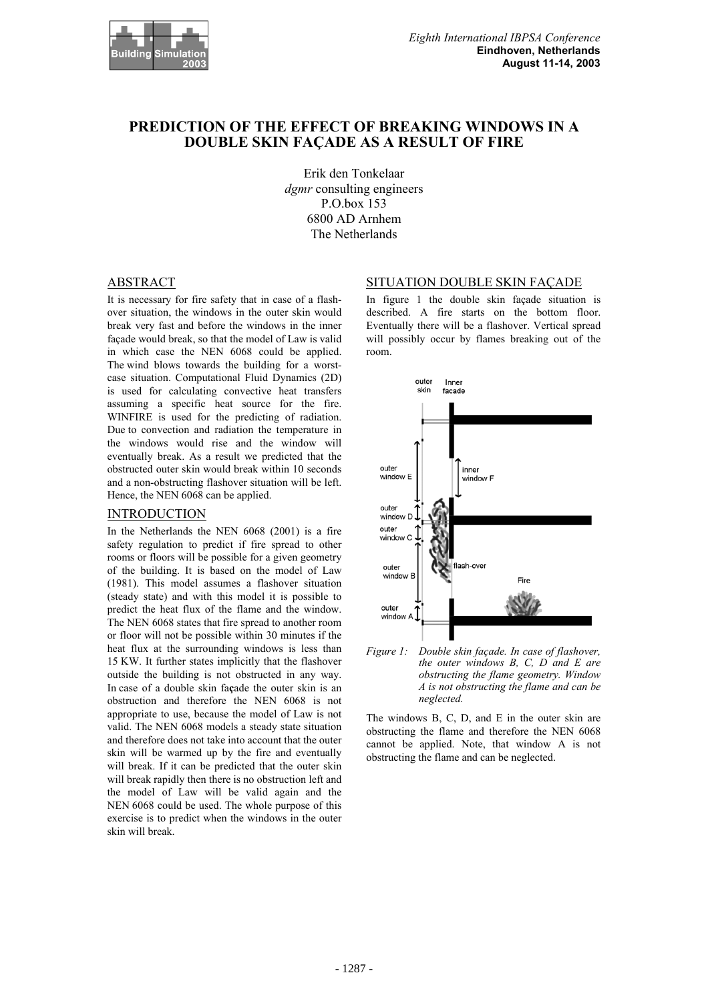

# **PREDICTION OF THE EFFECT OF BREAKING WINDOWS IN A DOUBLE SKIN FAÇADE AS A RESULT OF FIRE**

Erik den Tonkelaar *dgmr* consulting engineers P.O.box 153 6800 AD Arnhem The Netherlands

#### ABSTRACT

It is necessary for fire safety that in case of a flashover situation, the windows in the outer skin would break very fast and before the windows in the inner façade would break, so that the model of Law is valid in which case the NEN 6068 could be applied. The wind blows towards the building for a worstcase situation. Computational Fluid Dynamics (2D) is used for calculating convective heat transfers assuming a specific heat source for the fire. WINFIRE is used for the predicting of radiation. Due to convection and radiation the temperature in the windows would rise and the window will eventually break. As a result we predicted that the obstructed outer skin would break within 10 seconds and a non-obstructing flashover situation will be left. Hence, the NEN 6068 can be applied.

## INTRODUCTION

In the Netherlands the NEN 6068 (2001) is a fire safety regulation to predict if fire spread to other rooms or floors will be possible for a given geometry of the building. It is based on the model of Law (1981). This model assumes a flashover situation (steady state) and with this model it is possible to predict the heat flux of the flame and the window. The NEN 6068 states that fire spread to another room or floor will not be possible within 30 minutes if the heat flux at the surrounding windows is less than 15 KW. It further states implicitly that the flashover outside the building is not obstructed in any way. In case of a double skin fa**ç**ade the outer skin is an obstruction and therefore the NEN 6068 is not appropriate to use, because the model of Law is not valid. The NEN 6068 models a steady state situation and therefore does not take into account that the outer skin will be warmed up by the fire and eventually will break. If it can be predicted that the outer skin will break rapidly then there is no obstruction left and the model of Law will be valid again and the NEN 6068 could be used. The whole purpose of this exercise is to predict when the windows in the outer skin will break.

#### SITUATION DOUBLE SKIN FAÇADE

In figure 1 the double skin façade situation is described. A fire starts on the bottom floor. Eventually there will be a flashover. Vertical spread will possibly occur by flames breaking out of the room.





The windows B, C, D, and E in the outer skin are obstructing the flame and therefore the NEN 6068 cannot be applied. Note, that window A is not obstructing the flame and can be neglected.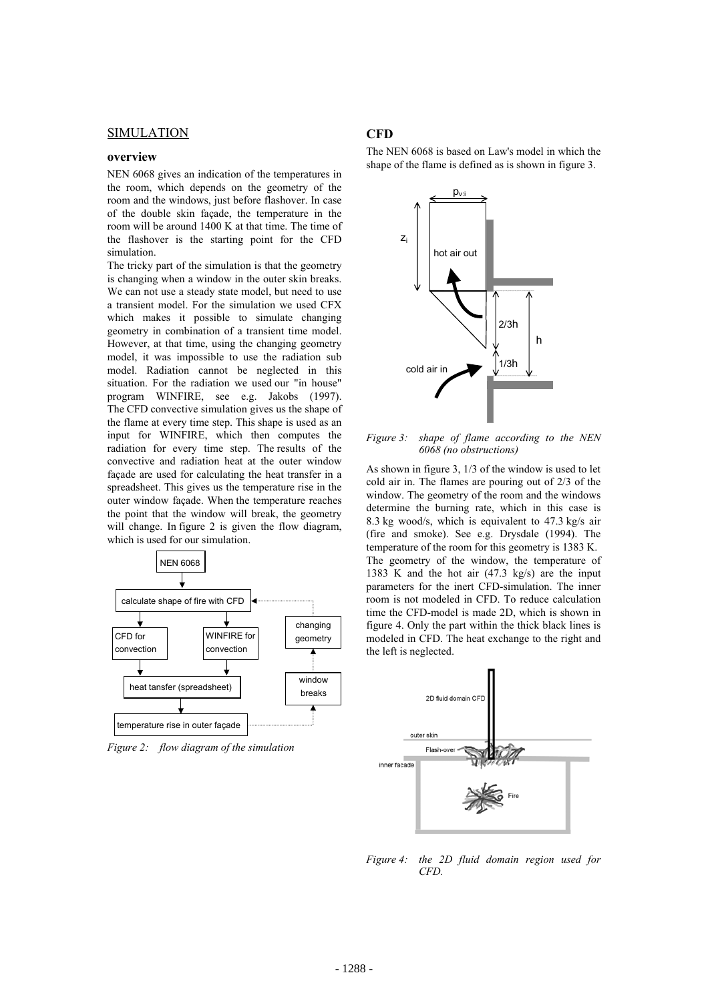#### SIMULATION

#### **overview**

NEN 6068 gives an indication of the temperatures in the room, which depends on the geometry of the room and the windows, just before flashover. In case of the double skin façade, the temperature in the room will be around 1400 K at that time. The time of the flashover is the starting point for the CFD simulation.

The tricky part of the simulation is that the geometry is changing when a window in the outer skin breaks. We can not use a steady state model, but need to use a transient model. For the simulation we used CFX which makes it possible to simulate changing geometry in combination of a transient time model. However, at that time, using the changing geometry model, it was impossible to use the radiation sub model. Radiation cannot be neglected in this situation. For the radiation we used our "in house" program WINFIRE, see e.g. Jakobs (1997). The CFD convective simulation gives us the shape of the flame at every time step. This shape is used as an input for WINFIRE, which then computes the radiation for every time step. The results of the convective and radiation heat at the outer window façade are used for calculating the heat transfer in a spreadsheet. This gives us the temperature rise in the outer window façade. When the temperature reaches the point that the window will break, the geometry will change. In figure 2 is given the flow diagram, which is used for our simulation.



*Figure 2: flow diagram of the simulation* 

#### **CFD**

The NEN 6068 is based on Law's model in which the shape of the flame is defined as is shown in figure 3.



*Figure 3: shape of flame according to the NEN 6068 (no obstructions)* 

As shown in figure 3, 1/3 of the window is used to let cold air in. The flames are pouring out of 2/3 of the window. The geometry of the room and the windows determine the burning rate, which in this case is 8.3 kg wood/s, which is equivalent to 47.3 kg/s air (fire and smoke). See e.g. Drysdale (1994). The temperature of the room for this geometry is 1383 K. The geometry of the window, the temperature of 1383 K and the hot air (47.3 kg/s) are the input parameters for the inert CFD-simulation. The inner room is not modeled in CFD. To reduce calculation time the CFD-model is made 2D, which is shown in figure 4. Only the part within the thick black lines is modeled in CFD. The heat exchange to the right and the left is neglected.



*Figure 4: the 2D fluid domain region used for CFD.*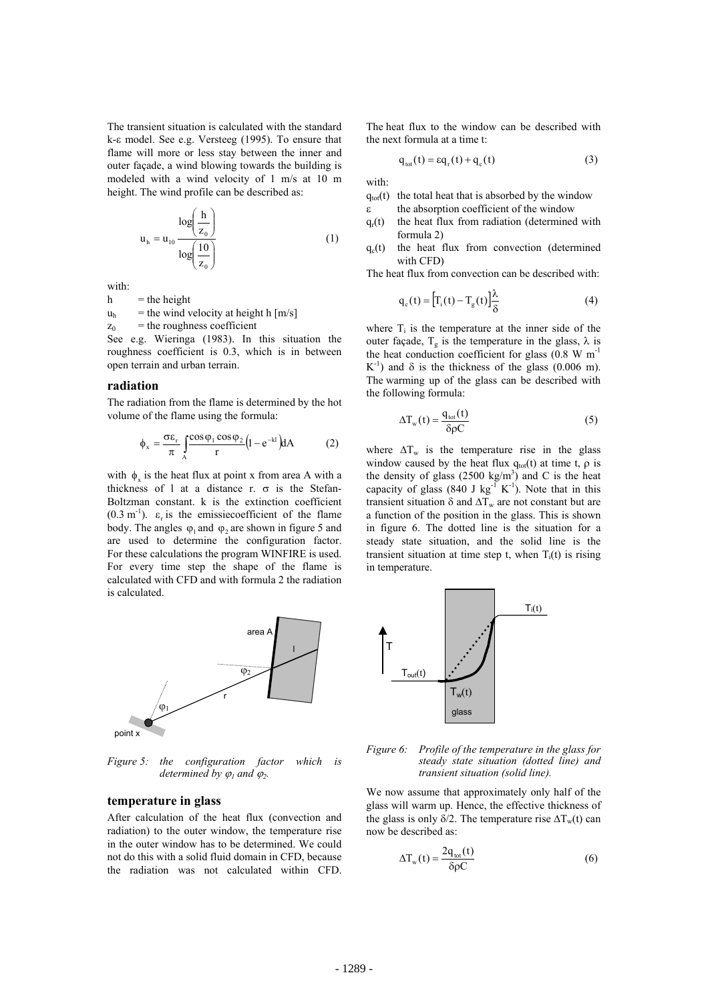The transient situation is calculated with the standard  $k$ - $\varepsilon$  model. See e.g. Versteeg (1995). To ensure that flame will more or less stay between the inner and outer façade, a wind blowing towards the building is modeled with a wind velocity of 1 m/s at 10 m height. The wind profile can be described as:

$$
u_h = u_{10} \frac{\log \left(\frac{h}{z_0}\right)}{\log \left(\frac{10}{z_0}\right)}\tag{1}
$$

with:

 $h$  = the height

 $u<sub>h</sub>$  = the wind velocity at height h [m/s]

 $z_0$  = the roughness coefficient

See e.g. Wieringa (1983). In this situation the roughness coefficient is 0.3, which is in between open terrain and urban terrain.

### **radiation**

The radiation from the flame is determined by the hot volume of the flame using the formula:

$$
\phi_{x} = \frac{\sigma \varepsilon_{r}}{\pi} \int_{A} \frac{\cos \varphi_{1} \cos \varphi_{2}}{r} \left(1 - e^{-kt}\right) dA \tag{2}
$$

with  $\phi_x$  is the heat flux at point x from area A with a thickness of 1 at a distance r.  $\sigma$  is the Stefan-Boltzman constant. k is the extinction coefficient  $(0.3 \text{ m}^{-1})$ .  $\varepsilon$  is the emissiecoefficient of the flame body. The angles  $\varphi_1$  and  $\varphi_2$  are shown in figure 5 and are used to determine the configuration factor. For these calculations the program WINFIRE is used. For every time step the shape of the flame is calculated with CFD and with formula 2 the radiation is calculated.



*Figure 5: the configuration factor which is determined by*  $\varphi_1$  *and*  $\varphi_2$ *.* 

### **temperature in glass**

After calculation of the heat flux (convection and radiation) to the outer window, the temperature rise in the outer window has to be determined. We could not do this with a solid fluid domain in CFD, because the radiation was not calculated within CFD.

The heat flux to the window can be described with the next formula at a time t:

$$
q_{\text{tot}}(t) = \varepsilon q_{\text{r}}(t) + q_{\text{c}}(t) \tag{3}
$$

with:

- $q_{tot}(t)$  the total heat that is absorbed by the window  $\epsilon$  the absorption coefficient of the window
- $q_r(t)$  the heat flux from radiation (determined with formula 2)
- $q_c(t)$  the heat flux from convection (determined with CFD)

The heat flux from convection can be described with:

$$
q_c(t) = \left[ T_i(t) - T_g(t) \right]_{\delta}^{\lambda}
$$
 (4)

where  $T_i$  is the temperature at the inner side of the outer façade,  $T_g$  is the temperature in the glass,  $\lambda$  is the heat conduction coefficient for glass  $(0.8 \text{ W m}^{-1})$  $K^{-1}$ ) and  $\delta$  is the thickness of the glass (0.006 m). The warming up of the glass can be described with the following formula:

$$
\Delta T_{\rm w}(t) = \frac{q_{\rm tot}(t)}{\delta \rho C}
$$
 (5)

where  $\Delta T_w$  is the temperature rise in the glass window caused by the heat flux  $q_{tot}(t)$  at time t,  $\rho$  is the density of glass  $(2500 \text{ kg/m}^3)$  and C is the heat capacity of glass (840 J kg<sup>-1</sup> K<sup>-1</sup>). Note that in this transient situation  $\delta$  and  $\Delta T_w$  are not constant but are a function of the position in the glass. This is shown in figure 6. The dotted line is the situation for a steady state situation, and the solid line is the transient situation at time step t, when  $T_i(t)$  is rising in temperature.





We now assume that approximately only half of the glass will warm up. Hence, the effective thickness of the glass is only  $\delta/2$ . The temperature rise  $\Delta T_w(t)$  can now be described as:

$$
\Delta T_{\rm w}(t) = \frac{2q_{\rm tot}(t)}{\delta \rho C}
$$
 (6)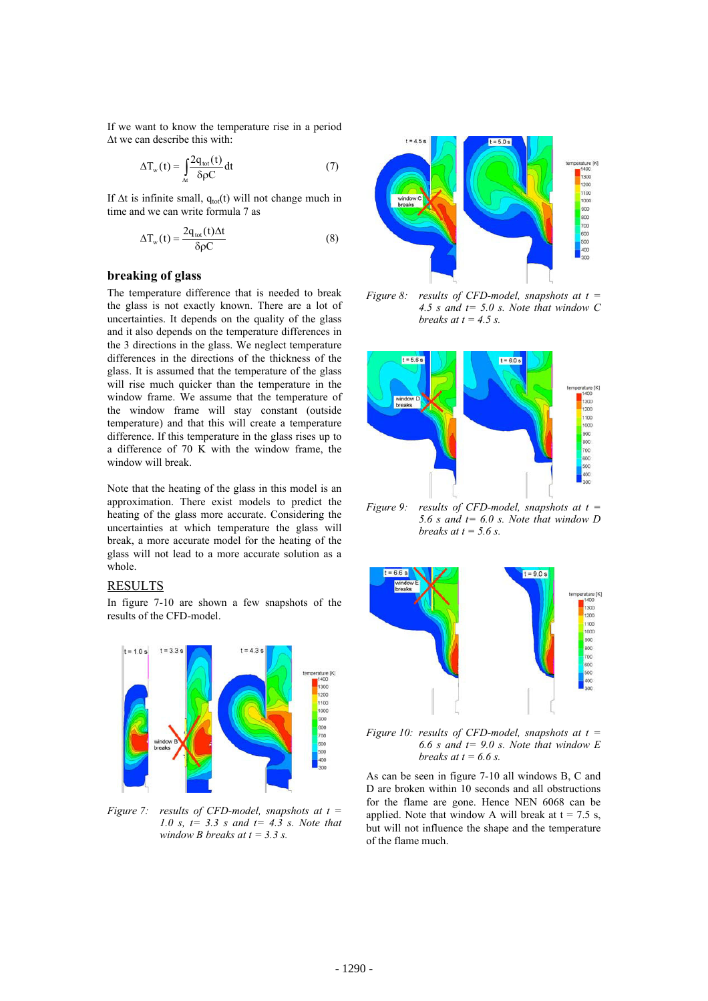If we want to know the temperature rise in a period At we can describe this with:

$$
\Delta T_{\rm w}(t) = \int_{\Delta t} \frac{2q_{\rm tot}(t)}{\delta \rho C} dt
$$
 (7)

If  $\Delta t$  is infinite small,  $q_{tot}(t)$  will not change much in time and we can write formula 7 as

$$
\Delta T_{\rm w}(t) = \frac{2q_{\rm tot}(t)\Delta t}{\delta \rho C}
$$
 (8)

## **breaking of glass**

The temperature difference that is needed to break the glass is not exactly known. There are a lot of uncertainties. It depends on the quality of the glass and it also depends on the temperature differences in the 3 directions in the glass. We neglect temperature differences in the directions of the thickness of the glass. It is assumed that the temperature of the glass will rise much quicker than the temperature in the window frame. We assume that the temperature of the window frame will stay constant (outside temperature) and that this will create a temperature difference. If this temperature in the glass rises up to a difference of 70 K with the window frame, the window will break.

Note that the heating of the glass in this model is an approximation. There exist models to predict the heating of the glass more accurate. Considering the uncertainties at which temperature the glass will break, a more accurate model for the heating of the glass will not lead to a more accurate solution as a whole.

# RESULTS

In figure 7-10 are shown a few snapshots of the results of the CFD-model.



*Figure 7: results of CFD-model, snapshots at t = 1.0 s, t= 3.3 s and t= 4.3 s. Note that window B breaks at t = 3.3 s.* 



*Figure 8: results of CFD-model, snapshots at t = 4.5 s and t= 5.0 s. Note that window C breaks at t = 4.5 s.* 



*Figure 9: results of CFD-model, snapshots at t = 5.6 s and t= 6.0 s. Note that window D breaks at t = 5.6 s.* 



*Figure 10: results of CFD-model, snapshots at t = 6.6 s and t= 9.0 s. Note that window E breaks at t = 6.6 s.* 

As can be seen in figure 7-10 all windows B, C and D are broken within 10 seconds and all obstructions for the flame are gone. Hence NEN 6068 can be applied. Note that window A will break at  $t = 7.5$  s, but will not influence the shape and the temperature of the flame much.